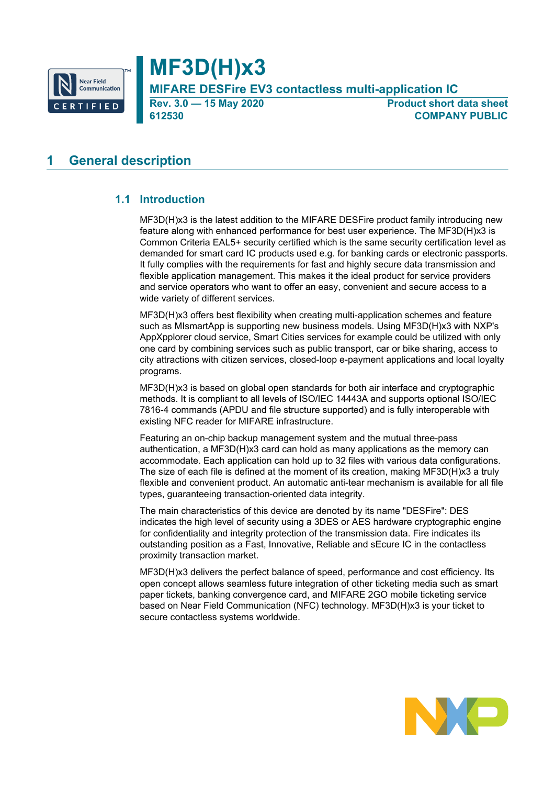

# **MF3D(H)x3**

**MIFARE DESFire EV3 contactless multi-application IC**

**Rev. 3.0 — 15 May 2020 Product short data sheet 612530 COMPANY PUBLIC**

# <span id="page-0-0"></span>**1 General description**

# **1.1 Introduction**

<span id="page-0-1"></span>MF3D(H)x3 is the latest addition to the MIFARE DESFire product family introducing new feature along with enhanced performance for best user experience. The MF3D(H)x3 is Common Criteria EAL5+ security certified which is the same security certification level as demanded for smart card IC products used e.g. for banking cards or electronic passports. It fully complies with the requirements for fast and highly secure data transmission and flexible application management. This makes it the ideal product for service providers and service operators who want to offer an easy, convenient and secure access to a wide variety of different services.

MF3D(H)x3 offers best flexibility when creating multi-application schemes and feature such as MIsmartApp is supporting new business models. Using MF3D(H)x3 with NXP's AppXpplorer cloud service, Smart Cities services for example could be utilized with only one card by combining services such as public transport, car or bike sharing, access to city attractions with citizen services, closed-loop e-payment applications and local loyalty programs.

MF3D(H)x3 is based on global open standards for both air interface and cryptographic methods. It is compliant to all levels of ISO/IEC 14443A and supports optional ISO/IEC 7816-4 commands (APDU and file structure supported) and is fully interoperable with existing NFC reader for MIFARE infrastructure.

Featuring an on-chip backup management system and the mutual three-pass authentication, a MF3D(H)x3 card can hold as many applications as the memory can accommodate. Each application can hold up to 32 files with various data configurations. The size of each file is defined at the moment of its creation, making MF3D(H)x3 a truly flexible and convenient product. An automatic anti-tear mechanism is available for all file types, guaranteeing transaction-oriented data integrity.

The main characteristics of this device are denoted by its name "DESFire": DES indicates the high level of security using a 3DES or AES hardware cryptographic engine for confidentiality and integrity protection of the transmission data. Fire indicates its outstanding position as a Fast, Innovative, Reliable and sEcure IC in the contactless proximity transaction market.

MF3D(H)x3 delivers the perfect balance of speed, performance and cost efficiency. Its open concept allows seamless future integration of other ticketing media such as smart paper tickets, banking convergence card, and MIFARE 2GO mobile ticketing service based on Near Field Communication (NFC) technology. MF3D(H)x3 is your ticket to secure contactless systems worldwide.

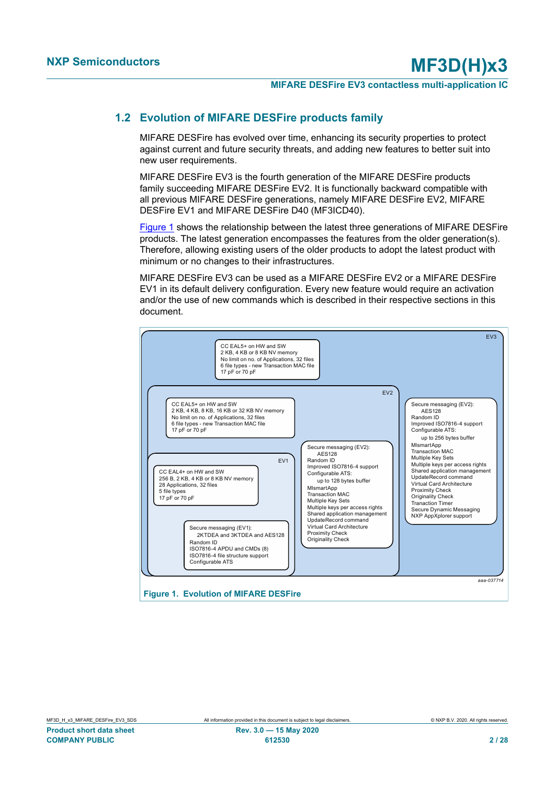### **1.2 Evolution of MIFARE DESFire products family**

<span id="page-1-2"></span>MIFARE DESFire has evolved over time, enhancing its security properties to protect against current and future security threats, and adding new features to better suit into new user requirements.

MIFARE DESFire EV3 is the fourth generation of the MIFARE DESFire products family succeeding MIFARE DESFire EV2. It is functionally backward compatible with all previous MIFARE DESFire generations, namely MIFARE DESFire EV2, MIFARE DESFire EV1 and MIFARE DESFire D40 (MF3ICD40).

[Figure 1](#page-1-0) shows the relationship between the latest three generations of MIFARE DESFire products. The latest generation encompasses the features from the older generation(s). Therefore, allowing existing users of the older products to adopt the latest product with minimum or no changes to their infrastructures.

MIFARE DESFire EV3 can be used as a MIFARE DESFire EV2 or a MIFARE DESFire EV1 in its default delivery configuration. Every new feature would require an activation and/or the use of new commands which is described in their respective sections in this document.

<span id="page-1-1"></span><span id="page-1-0"></span>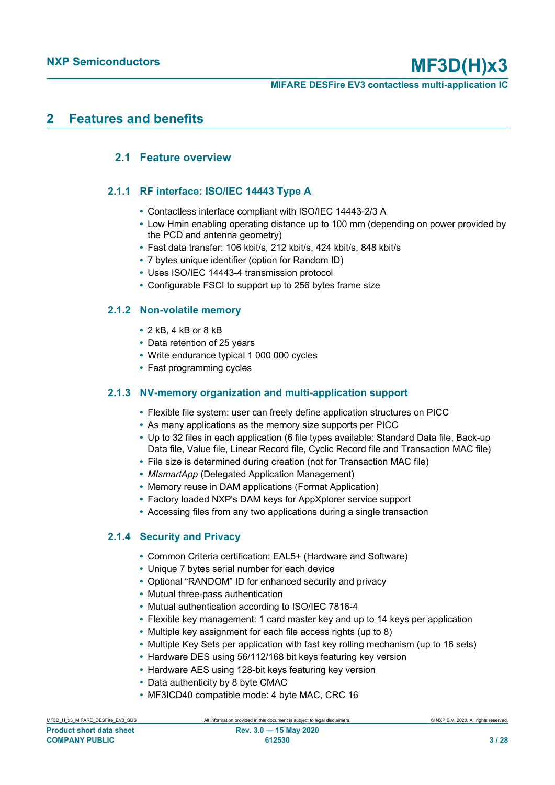# <span id="page-2-0"></span>**2 Features and benefits**

## <span id="page-2-1"></span>**2.1 Feature overview**

### **2.1.1 RF interface: ISO/IEC 14443 Type A**

- <span id="page-2-2"></span>**•** Contactless interface compliant with ISO/IEC 14443-2/3 A
- **•** Low Hmin enabling operating distance up to 100 mm (depending on power provided by the PCD and antenna geometry)
- **•** Fast data transfer: 106 kbit/s, 212 kbit/s, 424 kbit/s, 848 kbit/s
- **•** 7 bytes unique identifier (option for Random ID)
- **•** Uses ISO/IEC 14443-4 transmission protocol
- <span id="page-2-3"></span>**•** Configurable FSCI to support up to 256 bytes frame size

### **2.1.2 Non-volatile memory**

- **•** 2 kB, 4 kB or 8 kB
- **•** Data retention of 25 years
- **•** Write endurance typical 1 000 000 cycles
- <span id="page-2-4"></span>**•** Fast programming cycles

### **2.1.3 NV-memory organization and multi-application support**

- **•** Flexible file system: user can freely define application structures on PICC
- **•** As many applications as the memory size supports per PICC
- **•** Up to 32 files in each application (6 file types available: Standard Data file, Back-up Data file, Value file, Linear Record file, Cyclic Record file and Transaction MAC file)
- **•** File size is determined during creation (not for Transaction MAC file)
- **•** *MIsmartApp* (Delegated Application Management)
- **•** Memory reuse in DAM applications (Format Application)
- **•** Factory loaded NXP's DAM keys for AppXplorer service support
- <span id="page-2-5"></span>**•** Accessing files from any two applications during a single transaction

### **2.1.4 Security and Privacy**

- **•** Common Criteria certification: EAL5+ (Hardware and Software)
- **•** Unique 7 bytes serial number for each device
- **•** Optional "RANDOM" ID for enhanced security and privacy
- **•** Mutual three-pass authentication
- **•** Mutual authentication according to ISO/IEC 7816-4
- **•** Flexible key management: 1 card master key and up to 14 keys per application
- **•** Multiple key assignment for each file access rights (up to 8)
- **•** Multiple Key Sets per application with fast key rolling mechanism (up to 16 sets)
- **•** Hardware DES using 56/112/168 bit keys featuring key version
- **•** Hardware AES using 128-bit keys featuring key version
- **•** Data authenticity by 8 byte CMAC
- **•** MF3ICD40 compatible mode: 4 byte MAC, CRC 16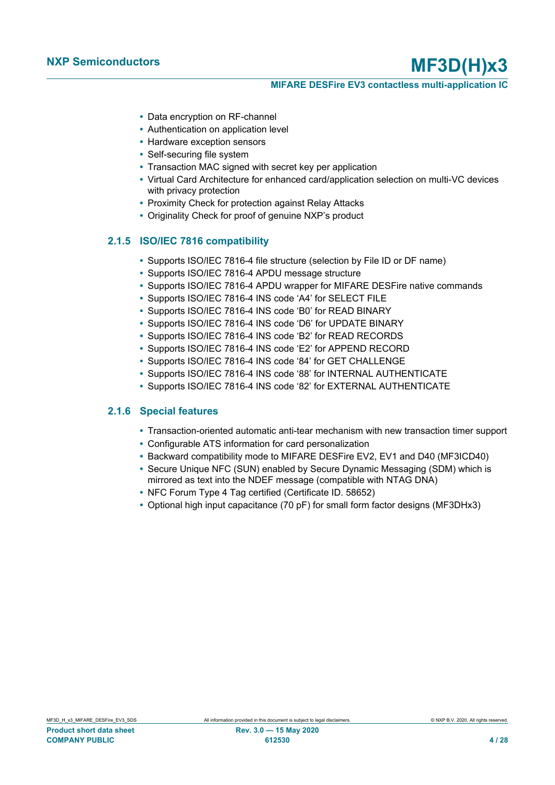#### **MIFARE DESFire EV3 contactless multi-application IC**

- **•** Data encryption on RF-channel
- **•** Authentication on application level
- **•** Hardware exception sensors
- **•** Self-securing file system
- **•** Transaction MAC signed with secret key per application
- **•** Virtual Card Architecture for enhanced card/application selection on multi-VC devices with privacy protection
- **•** Proximity Check for protection against Relay Attacks
- <span id="page-3-0"></span>**•** Originality Check for proof of genuine NXP's product

#### **2.1.5 ISO/IEC 7816 compatibility**

- **•** Supports ISO/IEC 7816-4 file structure (selection by File ID or DF name)
- **•** Supports ISO/IEC 7816-4 APDU message structure
- **•** Supports ISO/IEC 7816-4 APDU wrapper for MIFARE DESFire native commands
- **•** Supports ISO/IEC 7816-4 INS code 'A4' for SELECT FILE
- **•** Supports ISO/IEC 7816-4 INS code 'B0' for READ BINARY
- **•** Supports ISO/IEC 7816-4 INS code 'D6' for UPDATE BINARY
- **•** Supports ISO/IEC 7816-4 INS code 'B2' for READ RECORDS
- **•** Supports ISO/IEC 7816-4 INS code 'E2' for APPEND RECORD
- **•** Supports ISO/IEC 7816-4 INS code '84' for GET CHALLENGE
- **•** Supports ISO/IEC 7816-4 INS code '88' for INTERNAL AUTHENTICATE
- <span id="page-3-1"></span>**•** Supports ISO/IEC 7816-4 INS code '82' for EXTERNAL AUTHENTICATE

### **2.1.6 Special features**

- **•** Transaction-oriented automatic anti-tear mechanism with new transaction timer support
- **•** Configurable ATS information for card personalization
- **•** Backward compatibility mode to MIFARE DESFire EV2, EV1 and D40 (MF3ICD40)
- **•** Secure Unique NFC (SUN) enabled by Secure Dynamic Messaging (SDM) which is mirrored as text into the NDEF message (compatible with NTAG DNA)
- **•** NFC Forum Type 4 Tag certified (Certificate ID. 58652)
- **•** Optional high input capacitance (70 pF) for small form factor designs (MF3DHx3)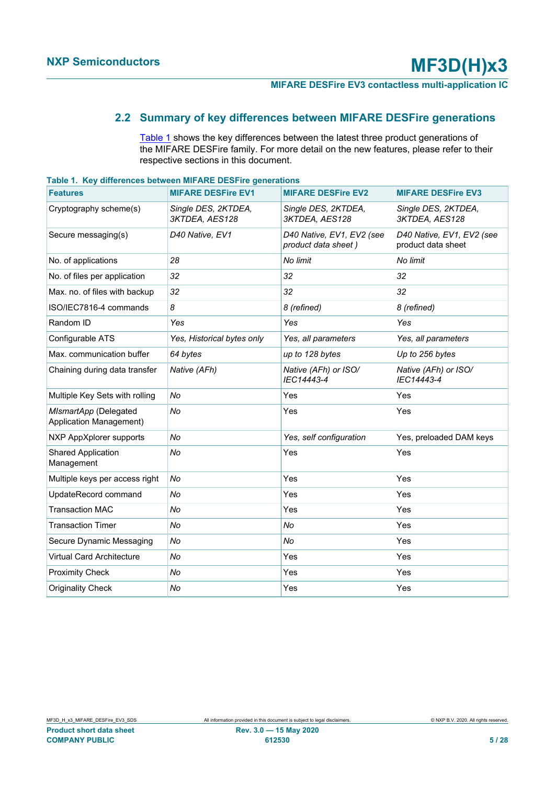# **2.2 Summary of key differences between MIFARE DESFire generations**

<span id="page-4-1"></span><span id="page-4-0"></span>[Table 1](#page-4-0) shows the key differences between the latest three product generations of the MIFARE DESFire family. For more detail on the new features, please refer to their respective sections in this document.

| <u>rable to region ences between will like beging generations</u> |                                       |                                                  |                                                 |
|-------------------------------------------------------------------|---------------------------------------|--------------------------------------------------|-------------------------------------------------|
| <b>Features</b>                                                   | <b>MIFARE DESFire EV1</b>             | <b>MIFARE DESFire EV2</b>                        | <b>MIFARE DESFire EV3</b>                       |
| Cryptography scheme(s)                                            | Single DES, 2KTDEA,<br>3KTDEA, AES128 | Single DES, 2KTDEA,<br>3KTDEA, AES128            | Single DES, 2KTDEA,<br>3KTDEA, AES128           |
| Secure messaging(s)                                               | D40 Native, EV1                       | D40 Native, EV1, EV2 (see<br>product data sheet) | D40 Native, EV1, EV2 (see<br>product data sheet |
| No. of applications                                               | 28                                    | No limit                                         | No limit                                        |
| No. of files per application                                      | 32                                    | 32                                               | 32                                              |
| Max. no. of files with backup                                     | 32                                    | 32                                               | 32                                              |
| ISO/IEC7816-4 commands                                            | 8                                     | 8 (refined)                                      | 8 (refined)                                     |
| Random ID                                                         | Yes                                   | Yes                                              | Yes                                             |
| Configurable ATS                                                  | Yes, Historical bytes only            | Yes, all parameters                              | Yes, all parameters                             |
| Max. communication buffer                                         | 64 bytes                              | up to 128 bytes                                  | Up to 256 bytes                                 |
| Chaining during data transfer                                     | Native (AFh)                          | Native (AFh) or ISO/<br>IEC14443-4               | Native (AFh) or ISO/<br>IEC14443-4              |
| Multiple Key Sets with rolling                                    | No                                    | Yes                                              | Yes                                             |
| MIsmartApp (Delegated<br><b>Application Management)</b>           | No                                    | Yes                                              | Yes                                             |
| NXP AppXplorer supports                                           | No                                    | Yes, self configuration                          | Yes, preloaded DAM keys                         |
| <b>Shared Application</b><br>Management                           | No                                    | Yes                                              | Yes                                             |
| Multiple keys per access right                                    | No                                    | Yes                                              | Yes                                             |
| UpdateRecord command                                              | No                                    | Yes                                              | Yes                                             |
| <b>Transaction MAC</b>                                            | No                                    | Yes                                              | Yes                                             |
| <b>Transaction Timer</b>                                          | No                                    | No                                               | Yes                                             |
| Secure Dynamic Messaging                                          | No                                    | No                                               | Yes                                             |
| <b>Virtual Card Architecture</b>                                  | No                                    | Yes                                              | Yes                                             |
| <b>Proximity Check</b>                                            | No                                    | Yes                                              | Yes                                             |
| <b>Originality Check</b>                                          | No                                    | Yes                                              | Yes                                             |

**Table 1. Key differences between MIFARE DESFire generations**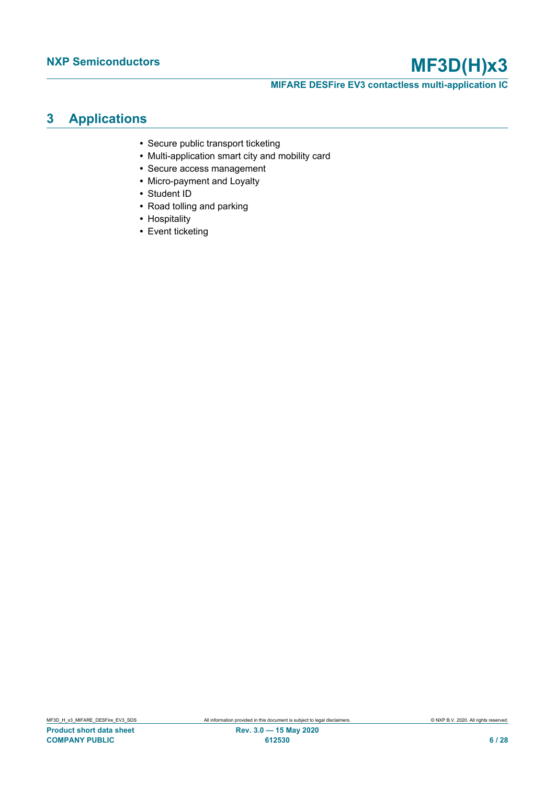**MIFARE DESFire EV3 contactless multi-application IC**

# <span id="page-5-0"></span>**3 Applications**

- **•** Secure public transport ticketing
- **•** Multi-application smart city and mobility card
- **•** Secure access management
- **•** Micro-payment and Loyalty
- **•** Student ID
- **•** Road tolling and parking
- **•** Hospitality
- **•** Event ticketing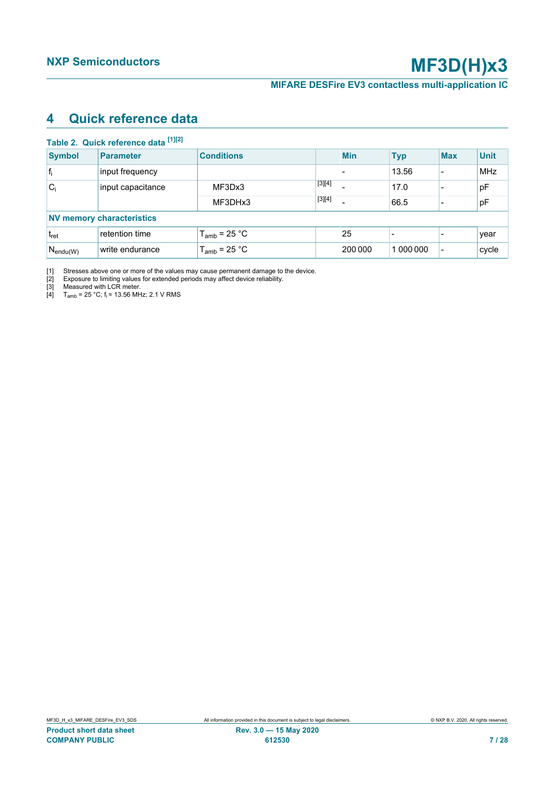# <span id="page-6-5"></span><span id="page-6-1"></span><span id="page-6-0"></span>**4 Quick reference data**

<span id="page-6-4"></span><span id="page-6-3"></span><span id="page-6-2"></span>

|                            | Table 2. Quick reference data [1][2] |                   |          |                          |            |                          |             |
|----------------------------|--------------------------------------|-------------------|----------|--------------------------|------------|--------------------------|-------------|
| <b>Symbol</b>              | <b>Parameter</b>                     | <b>Conditions</b> |          | <b>Min</b>               | <b>Typ</b> | <b>Max</b>               | <b>Unit</b> |
| $ f_i $                    | input frequency                      |                   |          | $\overline{\phantom{0}}$ | 13.56      | -                        | <b>MHz</b>  |
| $C_i$<br>input capacitance | MF3Dx3                               | $[3][4]$          |          | 17.0                     |            | pF                       |             |
|                            |                                      | MF3DHx3           | $[3][4]$ |                          | 66.5       |                          | рF          |
|                            | <b>NV memory characteristics</b>     |                   |          |                          |            |                          |             |
| t <sub>ret</sub>           | retention time                       | $T_{amb}$ = 25 °C |          | 25                       |            |                          | year        |
| $N_{endu(W)}$              | write endurance                      | $T_{amb}$ = 25 °C |          | 200 000                  | 1 000 000  | $\overline{\phantom{a}}$ | cycle       |

[1] Stresses above one or more of the values may cause permanent damage to the device.

[2] Exposure to limiting values for extended periods may affect device reliability.

[3] Measured with LCR meter.

[4]  $T_{\text{amb}}$  = 25 °C; f<sub>i</sub> = 13.56 MHz; 2.1 V RMS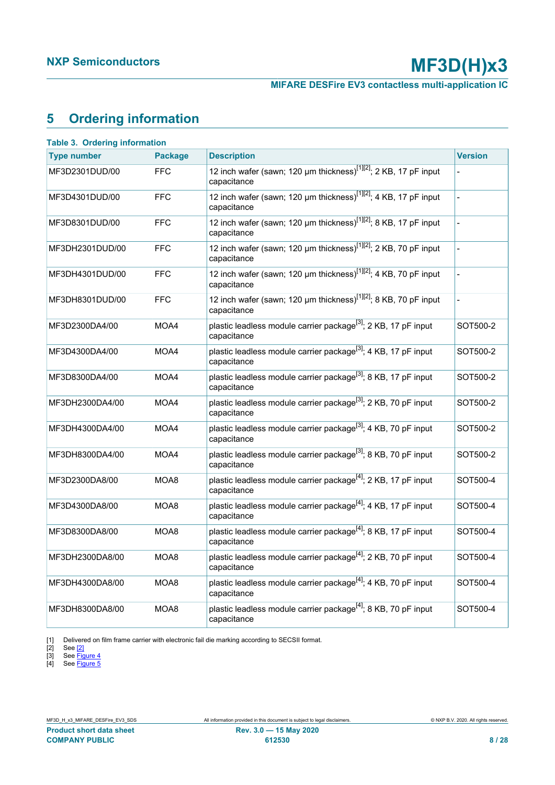**MIFARE DESFire EV3 contactless multi-application IC**

# <span id="page-7-5"></span><span id="page-7-1"></span><span id="page-7-0"></span>**5 Ordering information**

<span id="page-7-4"></span><span id="page-7-3"></span><span id="page-7-2"></span>

| <b>Table 3. Ordering information</b> |                |                                                                                             |                |
|--------------------------------------|----------------|---------------------------------------------------------------------------------------------|----------------|
| <b>Type number</b>                   | <b>Package</b> | <b>Description</b>                                                                          | <b>Version</b> |
| MF3D2301DUD/00                       | <b>FFC</b>     | 12 inch wafer (sawn; 120 µm thickness) <sup>[1][2]</sup> ; 2 KB, 17 pF input<br>capacitance |                |
| MF3D4301DUD/00                       | <b>FFC</b>     | 12 inch wafer (sawn; 120 µm thickness) <sup>[1][2]</sup> ; 4 KB, 17 pF input<br>capacitance |                |
| MF3D8301DUD/00                       | <b>FFC</b>     | 12 inch wafer (sawn; 120 µm thickness) <sup>[1][2]</sup> ; 8 KB, 17 pF input<br>capacitance |                |
| MF3DH2301DUD/00                      | <b>FFC</b>     | 12 inch wafer (sawn; 120 µm thickness) $^{[1][2]}$ ; 2 KB, 70 pF input<br>capacitance       |                |
| MF3DH4301DUD/00                      | <b>FFC</b>     | 12 inch wafer (sawn; 120 µm thickness) <sup>[1][2]</sup> ; 4 KB, 70 pF input<br>capacitance |                |
| MF3DH8301DUD/00                      | <b>FFC</b>     | 12 inch wafer (sawn; 120 µm thickness) <sup>[1][2]</sup> ; 8 KB, 70 pF input<br>capacitance | $\overline{a}$ |
| MF3D2300DA4/00                       | MOA4           | plastic leadless module carrier package <sup>[3]</sup> ; 2 KB, 17 pF input<br>capacitance   | SOT500-2       |
| MF3D4300DA4/00                       | MOA4           | plastic leadless module carrier package <sup>[3]</sup> ; 4 KB, 17 pF input<br>capacitance   | SOT500-2       |
| MF3D8300DA4/00                       | MOA4           | plastic leadless module carrier package <sup>[3]</sup> ; 8 KB, 17 pF input<br>capacitance   | SOT500-2       |
| MF3DH2300DA4/00                      | MOA4           | plastic leadless module carrier package <sup>[3]</sup> ; 2 KB, 70 pF input<br>capacitance   | SOT500-2       |
| MF3DH4300DA4/00                      | MOA4           | plastic leadless module carrier package <sup>[3]</sup> ; 4 KB, 70 pF input<br>capacitance   | SOT500-2       |
| MF3DH8300DA4/00                      | MOA4           | plastic leadless module carrier package <sup>[3]</sup> ; 8 KB, 70 pF input<br>capacitance   | SOT500-2       |
| MF3D2300DA8/00                       | MOA8           | plastic leadless module carrier package <sup>[4]</sup> ; 2 KB, 17 pF input<br>capacitance   | SOT500-4       |
| MF3D4300DA8/00                       | MOA8           | plastic leadless module carrier package <sup>[4]</sup> ; 4 KB, 17 pF input<br>capacitance   | SOT500-4       |
| MF3D8300DA8/00                       | MOA8           | plastic leadless module carrier package <sup>[4]</sup> ; 8 KB, 17 pF input<br>capacitance   | SOT500-4       |
| MF3DH2300DA8/00                      | MOA8           | plastic leadless module carrier package <sup>[4]</sup> ; 2 KB, 70 pF input<br>capacitance   | SOT500-4       |
| MF3DH4300DA8/00                      | MOA8           | plastic leadless module carrier package <sup>[4]</sup> ; 4 KB, 70 pF input<br>capacitance   | SOT500-4       |
| MF3DH8300DA8/00                      | MOA8           | plastic leadless module carrier package <sup>[4]</sup> ; 8 KB, 70 pF input<br>capacitance   | SOT500-4       |

[1] Delivered on film frame carrier with electronic fail die marking according to SECSII format.<br>
[2] See  $\frac{[2]}{[3]}$  See Figure 4<br>
[4] See Figure 5

[2] See [\[2\]](#page-21-0)

[3] See <u>Figure 4</u>

[4] See <u>Figure 5</u>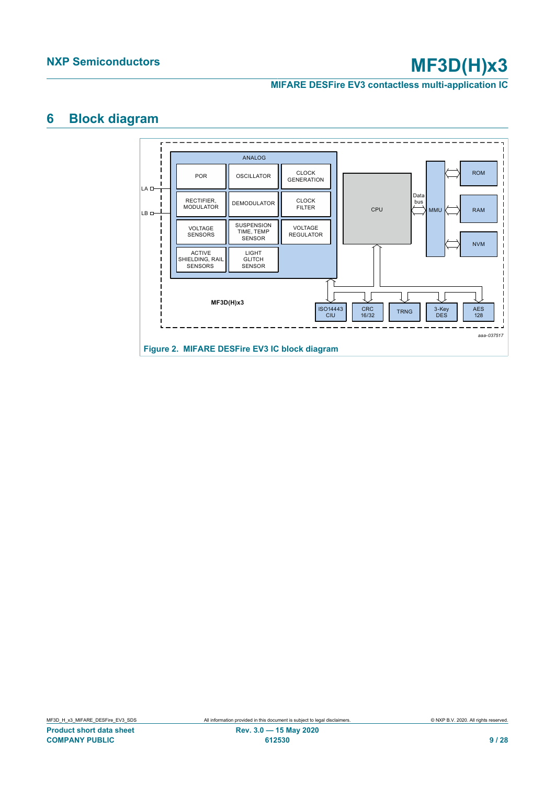**MIFARE DESFire EV3 contactless multi-application IC**

# <span id="page-8-1"></span>**6 Block diagram**

<span id="page-8-0"></span>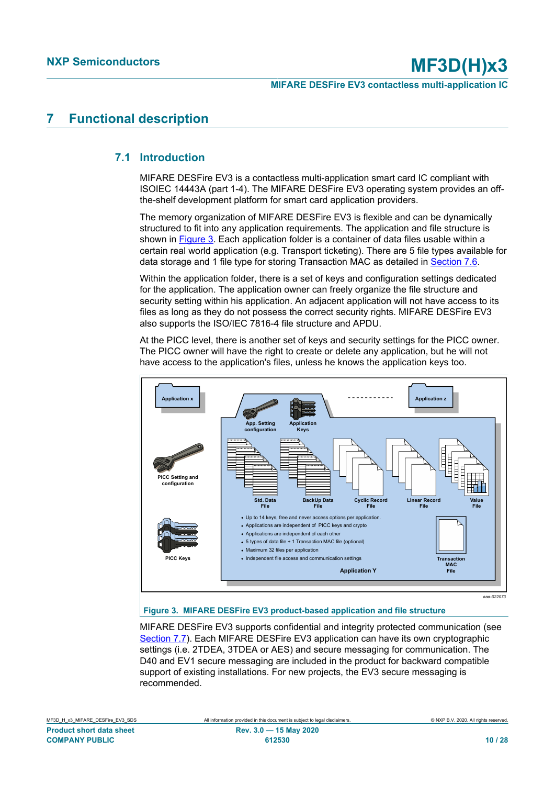# <span id="page-9-1"></span>**7 Functional description**

# **7.1 Introduction**

<span id="page-9-2"></span>MIFARE DESFire EV3 is a contactless multi-application smart card IC compliant with ISOIEC 14443A (part 1-4). The MIFARE DESFire EV3 operating system provides an offthe-shelf development platform for smart card application providers.

The memory organization of MIFARE DESFire EV3 is flexible and can be dynamically structured to fit into any application requirements. The application and file structure is shown in [Figure 3.](#page-9-0) Each application folder is a container of data files usable within a certain real world application (e.g. Transport ticketing). There are 5 file types available for data storage and 1 file type for storing Transaction MAC as detailed in [Section 7.6](#page-11-0).

Within the application folder, there is a set of keys and configuration settings dedicated for the application. The application owner can freely organize the file structure and security setting within his application. An adjacent application will not have access to its files as long as they do not possess the correct security rights. MIFARE DESFire EV3 also supports the ISO/IEC 7816-4 file structure and APDU.

At the PICC level, there is another set of keys and security settings for the PICC owner. The PICC owner will have the right to create or delete any application, but he will not have access to the application's files, unless he knows the application keys too.

<span id="page-9-0"></span>

### **Figure 3. MIFARE DESFire EV3 product-based application and file structure**

MIFARE DESFire EV3 supports confidential and integrity protected communication (see [Section 7.7\)](#page-11-1). Each MIFARE DESFire EV3 application can have its own cryptographic settings (i.e. 2TDEA, 3TDEA or AES) and secure messaging for communication. The D40 and EV1 secure messaging are included in the product for backward compatible support of existing installations. For new projects, the EV3 secure messaging is recommended.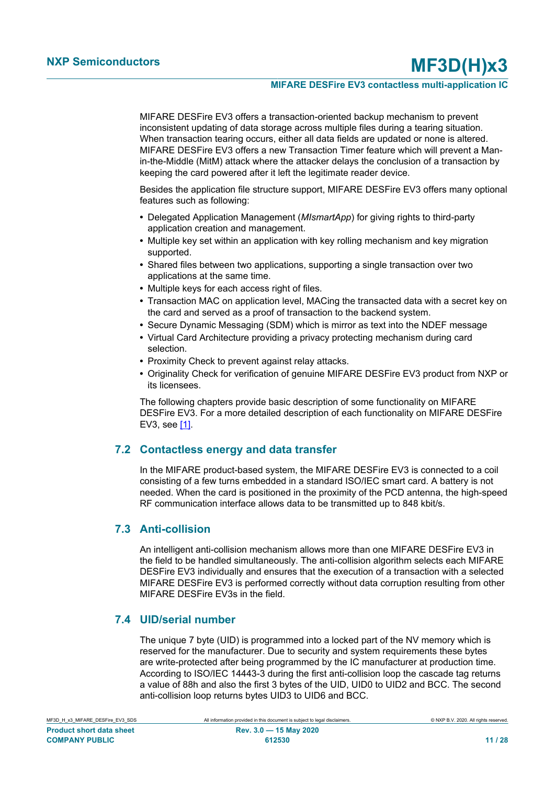MIFARE DESFire EV3 offers a transaction-oriented backup mechanism to prevent inconsistent updating of data storage across multiple files during a tearing situation. When transaction tearing occurs, either all data fields are updated or none is altered. MIFARE DESFire EV3 offers a new Transaction Timer feature which will prevent a Manin-the-Middle (MitM) attack where the attacker delays the conclusion of a transaction by keeping the card powered after it left the legitimate reader device.

Besides the application file structure support, MIFARE DESFire EV3 offers many optional features such as following:

- **•** Delegated Application Management (*MIsmartApp*) for giving rights to third-party application creation and management.
- **•** Multiple key set within an application with key rolling mechanism and key migration supported.
- **•** Shared files between two applications, supporting a single transaction over two applications at the same time.
- **•** Multiple keys for each access right of files.
- **•** Transaction MAC on application level, MACing the transacted data with a secret key on the card and served as a proof of transaction to the backend system.
- **•** Secure Dynamic Messaging (SDM) which is mirror as text into the NDEF message
- **•** Virtual Card Architecture providing a privacy protecting mechanism during card selection.
- **•** Proximity Check to prevent against relay attacks.
- **•** Originality Check for verification of genuine MIFARE DESFire EV3 product from NXP or its licensees.

The following chapters provide basic description of some functionality on MIFARE DESFire EV3. For a more detailed description of each functionality on MIFARE DESFire EV3, see [\[1\]](#page-21-1).

### **7.2 Contactless energy and data transfer**

<span id="page-10-0"></span>In the MIFARE product-based system, the MIFARE DESFire EV3 is connected to a coil consisting of a few turns embedded in a standard ISO/IEC smart card. A battery is not needed. When the card is positioned in the proximity of the PCD antenna, the high-speed RF communication interface allows data to be transmitted up to 848 kbit/s.

### <span id="page-10-1"></span>**7.3 Anti-collision**

An intelligent anti-collision mechanism allows more than one MIFARE DESFire EV3 in the field to be handled simultaneously. The anti-collision algorithm selects each MIFARE DESFire EV3 individually and ensures that the execution of a transaction with a selected MIFARE DESFire EV3 is performed correctly without data corruption resulting from other MIFARE DESFire EV3s in the field.

### **7.4 UID/serial number**

<span id="page-10-2"></span>The unique 7 byte (UID) is programmed into a locked part of the NV memory which is reserved for the manufacturer. Due to security and system requirements these bytes are write-protected after being programmed by the IC manufacturer at production time. According to ISO/IEC 14443-3 during the first anti-collision loop the cascade tag returns a value of 88h and also the first 3 bytes of the UID, UID0 to UID2 and BCC. The second anti-collision loop returns bytes UID3 to UID6 and BCC.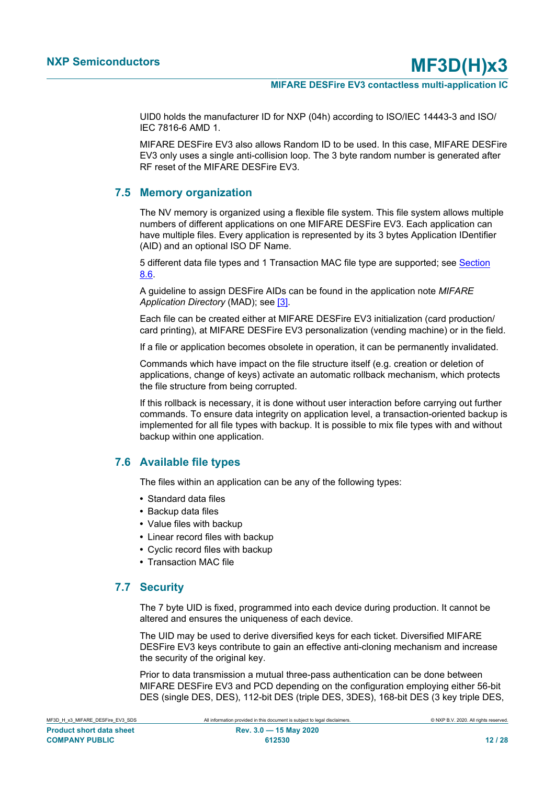UID0 holds the manufacturer ID for NXP (04h) according to ISO/IEC 14443-3 and ISO/ IEC 7816-6 AMD 1.

MIFARE DESFire EV3 also allows Random ID to be used. In this case, MIFARE DESFire EV3 only uses a single anti-collision loop. The 3 byte random number is generated after RF reset of the MIFARE DESFire EV3.

### **7.5 Memory organization**

<span id="page-11-2"></span>The NV memory is organized using a flexible file system. This file system allows multiple numbers of different applications on one MIFARE DESFire EV3. Each application can have multiple files. Every application is represented by its 3 bytes Application IDentifier (AID) and an optional ISO DF Name.

5 different data file types and 1 Transaction MAC file type are supported; see [Section](#page-11-0) [8.6.](#page-11-0)

A guideline to assign DESFire AIDs can be found in the application note *MIFARE Application Directory* (MAD); see [\[3\].](#page-21-2)

Each file can be created either at MIFARE DESFire EV3 initialization (card production/ card printing), at MIFARE DESFire EV3 personalization (vending machine) or in the field.

If a file or application becomes obsolete in operation, it can be permanently invalidated.

Commands which have impact on the file structure itself (e.g. creation or deletion of applications, change of keys) activate an automatic rollback mechanism, which protects the file structure from being corrupted.

If this rollback is necessary, it is done without user interaction before carrying out further commands. To ensure data integrity on application level, a transaction-oriented backup is implemented for all file types with backup. It is possible to mix file types with and without backup within one application.

# **7.6 Available file types**

<span id="page-11-0"></span>The files within an application can be any of the following types:

- **•** Standard data files
- **•** Backup data files
- **•** Value files with backup
- **•** Linear record files with backup
- **•** Cyclic record files with backup
- <span id="page-11-1"></span>**•** Transaction MAC file

### **7.7 Security**

The 7 byte UID is fixed, programmed into each device during production. It cannot be altered and ensures the uniqueness of each device.

The UID may be used to derive diversified keys for each ticket. Diversified MIFARE DESFire EV3 keys contribute to gain an effective anti-cloning mechanism and increase the security of the original key.

Prior to data transmission a mutual three-pass authentication can be done between MIFARE DESFire EV3 and PCD depending on the configuration employing either 56-bit DES (single DES, DES), 112-bit DES (triple DES, 3DES), 168-bit DES (3 key triple DES,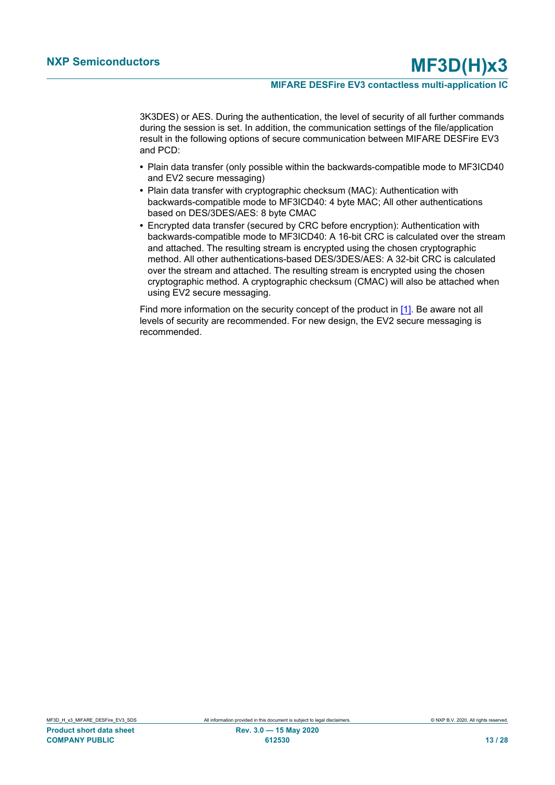#### **MIFARE DESFire EV3 contactless multi-application IC**

3K3DES) or AES. During the authentication, the level of security of all further commands during the session is set. In addition, the communication settings of the file/application result in the following options of secure communication between MIFARE DESFire EV3 and PCD:

- **•** Plain data transfer (only possible within the backwards-compatible mode to MF3ICD40 and EV2 secure messaging)
- **•** Plain data transfer with cryptographic checksum (MAC): Authentication with backwards-compatible mode to MF3ICD40: 4 byte MAC; All other authentications based on DES/3DES/AES: 8 byte CMAC
- **•** Encrypted data transfer (secured by CRC before encryption): Authentication with backwards-compatible mode to MF3ICD40: A 16-bit CRC is calculated over the stream and attached. The resulting stream is encrypted using the chosen cryptographic method. All other authentications-based DES/3DES/AES: A 32-bit CRC is calculated over the stream and attached. The resulting stream is encrypted using the chosen cryptographic method. A cryptographic checksum (CMAC) will also be attached when using EV2 secure messaging.

Find more information on the security concept of the product in  $[1]$ . Be aware not all levels of security are recommended. For new design, the EV2 secure messaging is recommended.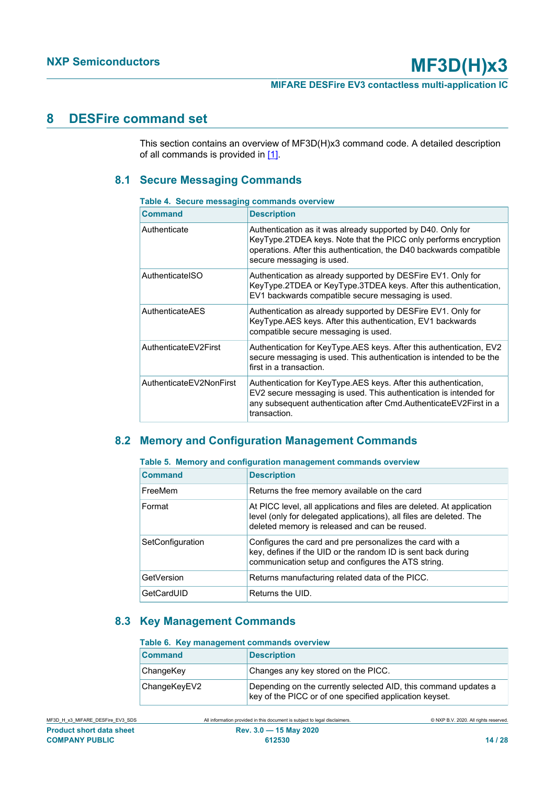# <span id="page-13-3"></span>**8 DESFire command set**

This section contains an overview of MF3D(H)x3 command code. A detailed description of all commands is provided in  $[1]$ .

## <span id="page-13-4"></span>**8.1 Secure Messaging Commands**

#### <span id="page-13-0"></span>**Table 4. Secure messaging commands overview**

| <b>Command</b>          | <b>Description</b>                                                                                                                                                                                                                 |
|-------------------------|------------------------------------------------------------------------------------------------------------------------------------------------------------------------------------------------------------------------------------|
| Authenticate            | Authentication as it was already supported by D40. Only for<br>KeyType.2TDEA keys. Note that the PICC only performs encryption<br>operations. After this authentication, the D40 backwards compatible<br>secure messaging is used. |
| AuthenticatelSO         | Authentication as already supported by DESFire EV1. Only for<br>KeyType.2TDEA or KeyType.3TDEA keys. After this authentication,<br>EV1 backwards compatible secure messaging is used.                                              |
| AuthenticateAES         | Authentication as already supported by DESFire EV1. Only for<br>KeyType.AES keys. After this authentication, EV1 backwards<br>compatible secure messaging is used.                                                                 |
| AuthenticateEV2First    | Authentication for KeyType.AES keys. After this authentication, EV2<br>secure messaging is used. This authentication is intended to be the<br>first in a transaction.                                                              |
| AuthenticateEV2NonFirst | Authentication for KeyType.AES keys. After this authentication,<br>EV2 secure messaging is used. This authentication is intended for<br>any subsequent authentication after Cmd.AuthenticateEV2First in a<br>transaction.          |

# <span id="page-13-5"></span>**8.2 Memory and Configuration Management Commands**

<span id="page-13-1"></span>

|  |  | Table 5. Memory and configuration management commands overview |  |  |  |
|--|--|----------------------------------------------------------------|--|--|--|
|--|--|----------------------------------------------------------------|--|--|--|

| <b>Command</b>   | <b>Description</b>                                                                                                                                                                            |
|------------------|-----------------------------------------------------------------------------------------------------------------------------------------------------------------------------------------------|
| FreeMem          | Returns the free memory available on the card                                                                                                                                                 |
| Format           | At PICC level, all applications and files are deleted. At application<br>level (only for delegated applications), all files are deleted. The<br>deleted memory is released and can be reused. |
| SetConfiguration | Configures the card and pre personalizes the card with a<br>key, defines if the UID or the random ID is sent back during<br>communication setup and configures the ATS string.                |
| GetVersion       | Returns manufacturing related data of the PICC.                                                                                                                                               |
| GetCardUID       | Returns the UID.                                                                                                                                                                              |

### **8.3 Key Management Commands**

#### <span id="page-13-6"></span><span id="page-13-2"></span>**Table 6. Key management commands overview**

| <b>Command</b> | <b>Description</b>                                                                                                         |
|----------------|----------------------------------------------------------------------------------------------------------------------------|
| ChangeKey      | Changes any key stored on the PICC.                                                                                        |
| ChangeKeyEV2   | Depending on the currently selected AID, this command updates a<br>key of the PICC or of one specified application keyset. |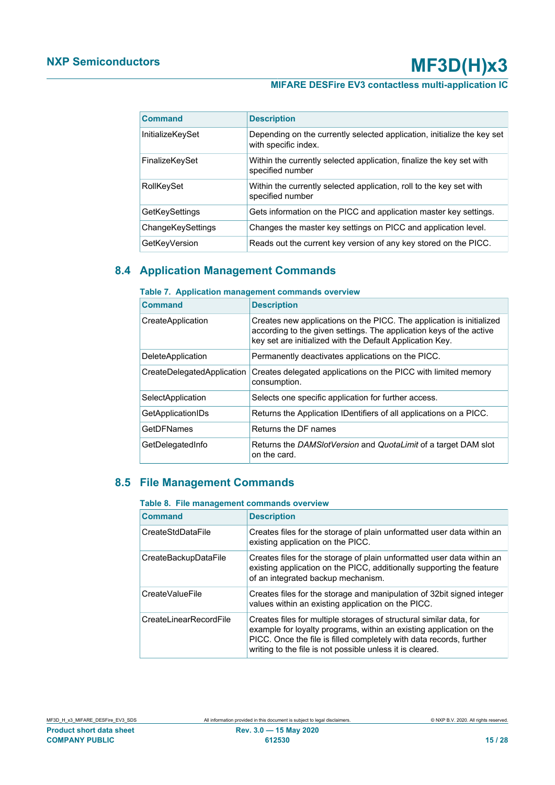# **MIFARE DESFire EV3 contactless multi-application IC**

| <b>Command</b>    | <b>Description</b>                                                                              |
|-------------------|-------------------------------------------------------------------------------------------------|
| InitializeKeySet  | Depending on the currently selected application, initialize the key set<br>with specific index. |
| FinalizeKeySet    | Within the currently selected application, finalize the key set with<br>specified number        |
| RollKeySet        | Within the currently selected application, roll to the key set with<br>specified number         |
| GetKeySettings    | Gets information on the PICC and application master key settings.                               |
| ChangeKeySettings | Changes the master key settings on PICC and application level.                                  |
| GetKeyVersion     | Reads out the current key version of any key stored on the PICC.                                |

### **8.4 Application Management Commands**

### <span id="page-14-2"></span><span id="page-14-0"></span>**Table 7. Application management commands overview**

| <b>Command</b>             | <b>Description</b>                                                                                                                                                                                       |
|----------------------------|----------------------------------------------------------------------------------------------------------------------------------------------------------------------------------------------------------|
| CreateApplication          | Creates new applications on the PICC. The application is initialized<br>according to the given settings. The application keys of the active<br>key set are initialized with the Default Application Key. |
| <b>DeleteApplication</b>   | Permanently deactivates applications on the PICC.                                                                                                                                                        |
| CreateDelegatedApplication | Creates delegated applications on the PICC with limited memory<br>consumption.                                                                                                                           |
| SelectApplication          | Selects one specific application for further access.                                                                                                                                                     |
| GetApplicationIDs          | Returns the Application IDentifiers of all applications on a PICC.                                                                                                                                       |
| GetDFNames                 | Returns the DF names                                                                                                                                                                                     |
| GetDelegatedInfo           | Returns the DAMSlotVersion and QuotaLimit of a target DAM slot<br>on the card.                                                                                                                           |

# **8.5 File Management Commands**

#### <span id="page-14-3"></span><span id="page-14-1"></span>**Table 8. File management commands overview**

| <b>Command</b>         | <b>Description</b>                                                                                                                                                                                                                                                             |
|------------------------|--------------------------------------------------------------------------------------------------------------------------------------------------------------------------------------------------------------------------------------------------------------------------------|
| CreateStdDataFile      | Creates files for the storage of plain unformatted user data within an<br>existing application on the PICC.                                                                                                                                                                    |
| CreateBackupDataFile   | Creates files for the storage of plain unformatted user data within an<br>existing application on the PICC, additionally supporting the feature<br>of an integrated backup mechanism.                                                                                          |
| CreateValueFile        | Creates files for the storage and manipulation of 32bit signed integer<br>values within an existing application on the PICC.                                                                                                                                                   |
| CreateLinearRecordFile | Creates files for multiple storages of structural similar data, for<br>example for loyalty programs, within an existing application on the<br>PICC. Once the file is filled completely with data records, further<br>writing to the file is not possible unless it is cleared. |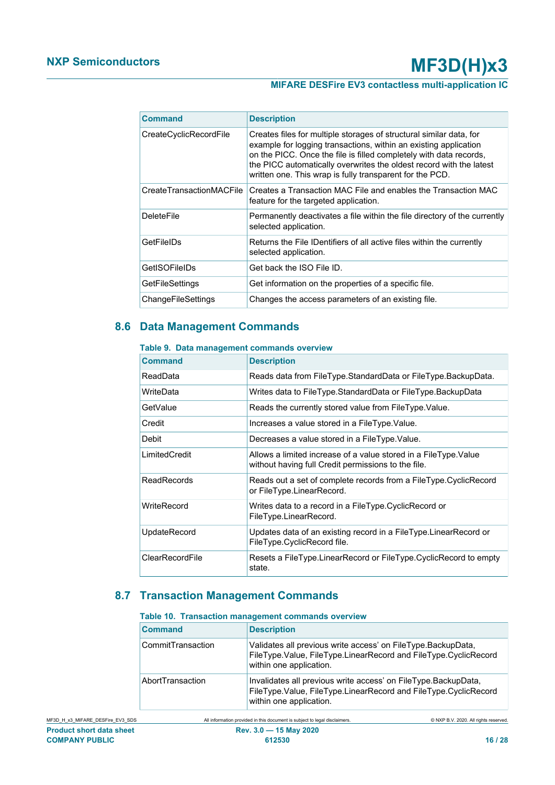# **MIFARE DESFire EV3 contactless multi-application IC**

| Command                  | <b>Description</b>                                                                                                                                                                                                                                                                                                                               |
|--------------------------|--------------------------------------------------------------------------------------------------------------------------------------------------------------------------------------------------------------------------------------------------------------------------------------------------------------------------------------------------|
| CreateCyclicRecordFile   | Creates files for multiple storages of structural similar data, for<br>example for logging transactions, within an existing application<br>on the PICC. Once the file is filled completely with data records,<br>the PICC automatically overwrites the oldest record with the latest<br>written one. This wrap is fully transparent for the PCD. |
| CreateTransactionMACFile | Creates a Transaction MAC File and enables the Transaction MAC<br>feature for the targeted application.                                                                                                                                                                                                                                          |
| <b>DeleteFile</b>        | Permanently deactivates a file within the file directory of the currently<br>selected application.                                                                                                                                                                                                                                               |
| GetFileIDs               | Returns the File IDentifiers of all active files within the currently<br>selected application.                                                                                                                                                                                                                                                   |
| GetISOFileIDs            | Get back the ISO File ID.                                                                                                                                                                                                                                                                                                                        |
| GetFileSettings          | Get information on the properties of a specific file.                                                                                                                                                                                                                                                                                            |
| ChangeFileSettings       | Changes the access parameters of an existing file.                                                                                                                                                                                                                                                                                               |

# **8.6 Data Management Commands**

#### <span id="page-15-2"></span><span id="page-15-0"></span>**Table 9. Data management commands overview**

| Command            | <b>Description</b>                                                                                                      |
|--------------------|-------------------------------------------------------------------------------------------------------------------------|
| ReadData           | Reads data from FileType.StandardData or FileType.BackupData.                                                           |
| WriteData          | Writes data to FileType.StandardData or FileType.BackupData                                                             |
| GetValue           | Reads the currently stored value from FileType. Value.                                                                  |
| Credit             | Increases a value stored in a FileType. Value.                                                                          |
| Debit              | Decreases a value stored in a FileType. Value.                                                                          |
| LimitedCredit      | Allows a limited increase of a value stored in a FileType. Value<br>without having full Credit permissions to the file. |
| <b>ReadRecords</b> | Reads out a set of complete records from a FileType.CyclicRecord<br>or FileType.LinearRecord.                           |
| WriteRecord        | Writes data to a record in a FileType.CyclicRecord or<br>FileType.LinearRecord.                                         |
| UpdateRecord       | Updates data of an existing record in a FileType.LinearRecord or<br>FileType.CyclicRecord file.                         |
| ClearRecordFile    | Resets a FileType.LinearRecord or FileType.CyclicRecord to empty<br>state.                                              |

# **8.7 Transaction Management Commands**

#### <span id="page-15-3"></span><span id="page-15-1"></span>**Table 10. Transaction management commands overview**

| <b>Command</b>    | <b>Description</b>                                                                                                                                           |
|-------------------|--------------------------------------------------------------------------------------------------------------------------------------------------------------|
| CommitTransaction | Validates all previous write access' on FileType. BackupData,<br>FileType.Value, FileType.LinearRecord and FileType.CyclicRecord<br>within one application.  |
| AbortTransaction  | Invalidates all previous write access' on FileType.BackupData,<br>FileType.Value, FileType.LinearRecord and FileType.CyclicRecord<br>within one application. |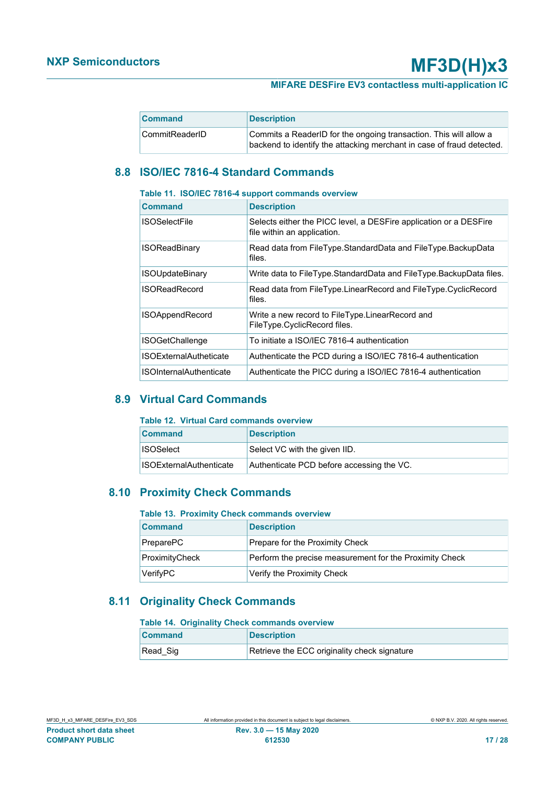### **MIFARE DESFire EV3 contactless multi-application IC**

| <b>Command</b> | <b>Description</b>                                                                                                                         |
|----------------|--------------------------------------------------------------------------------------------------------------------------------------------|
| CommitReaderID | Commits a ReaderID for the ongoing transaction. This will allow a<br>backend to identify the attacking merchant in case of fraud detected. |

# <span id="page-16-4"></span>**8.8 ISO/IEC 7816-4 Standard Commands**

#### <span id="page-16-0"></span>**Table 11. ISO/IEC 7816-4 support commands overview**

| <b>Command</b>                 | <b>Description</b>                                                                               |
|--------------------------------|--------------------------------------------------------------------------------------------------|
| <b>ISOSelectFile</b>           | Selects either the PICC level, a DESFire application or a DESFire<br>file within an application. |
| <b>ISOReadBinary</b>           | Read data from FileType.StandardData and FileType.BackupData<br>files.                           |
| <b>ISOUpdateBinary</b>         | Write data to FileType.StandardData and FileType.BackupData files.                               |
| <b>ISOReadRecord</b>           | Read data from FileType.LinearRecord and FileType.CyclicRecord<br>files.                         |
| <b>ISOAppendRecord</b>         | Write a new record to FileType.LinearRecord and<br>FileType.CyclicRecord files.                  |
| <b>ISOGetChallenge</b>         | To initiate a ISO/IEC 7816-4 authentication                                                      |
| <b>ISOExternalAutheticate</b>  | Authenticate the PCD during a ISO/IEC 7816-4 authentication                                      |
| <b>ISOInternalAuthenticate</b> | Authenticate the PICC during a ISO/IEC 7816-4 authentication                                     |

### **8.9 Virtual Card Commands**

#### <span id="page-16-5"></span><span id="page-16-1"></span>**Table 12. Virtual Card commands overview**

| <b>Command</b>                 | <b>Description</b>                        |
|--------------------------------|-------------------------------------------|
| <b>ISOSelect</b>               | Select VC with the given IID.             |
| <b>ISOExternalAuthenticate</b> | Authenticate PCD before accessing the VC. |

### **8.10 Proximity Check Commands**

#### <span id="page-16-6"></span><span id="page-16-2"></span>**Table 13. Proximity Check commands overview**

| <b>Command</b> | <b>Description</b>                                      |
|----------------|---------------------------------------------------------|
| PreparePC      | Prepare for the Proximity Check                         |
| ProximityCheck | Perform the precise measurement for the Proximity Check |
| VerifyPC       | Verify the Proximity Check                              |

# **8.11 Originality Check Commands**

#### <span id="page-16-7"></span><span id="page-16-3"></span>**Table 14. Originality Check commands overview**

| <b>Command</b> | <b>Description</b>                           |
|----------------|----------------------------------------------|
| Read_Sig       | Retrieve the ECC originality check signature |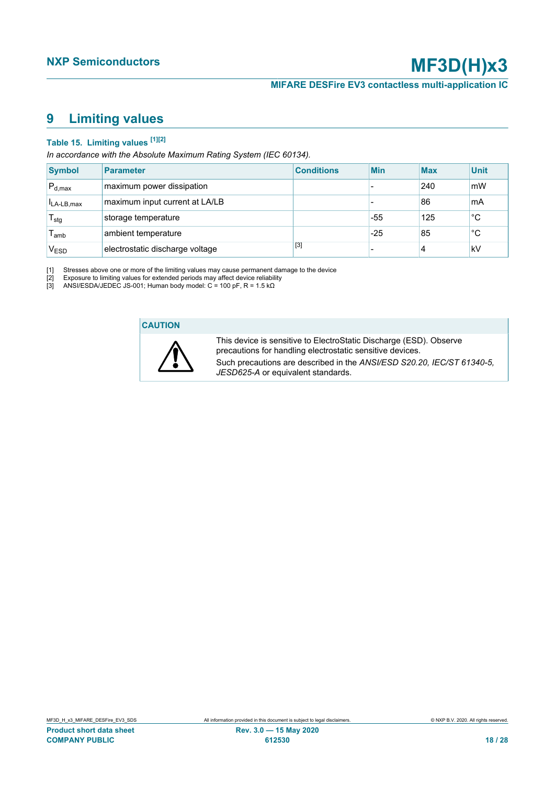# <span id="page-17-4"></span><span id="page-17-1"></span><span id="page-17-0"></span>**9 Limiting values**

# <span id="page-17-3"></span><span id="page-17-2"></span>**Table 15. Limiting values [\[1\]](#page-17-0)[\[2\]](#page-17-1)**

*In accordance with the Absolute Maximum Rating System (IEC 60134).*

| <b>Symbol</b>    | Parameter                       | <b>Conditions</b> | <b>Min</b> | <b>Max</b> | <b>Unit</b> |
|------------------|---------------------------------|-------------------|------------|------------|-------------|
| $P_{d,max}$      | maximum power dissipation       |                   |            | 240        | mW          |
| $I_{LA-LB,max}$  | maximum input current at LA/LB  |                   |            | 86         | mA          |
| $T_{\text{stg}}$ | storage temperature             |                   | -55        | 125        | $^{\circ}C$ |
| l <sub>amb</sub> | ambient temperature             |                   | $-25$      | 85         | °C          |
| $V_{ESD}$        | electrostatic discharge voltage | $[3]$             |            | 4          | kV          |

[1] Stresses above one or more of the limiting values may cause permanent damage to the device

[2] Exposure to limiting values for extended periods may affect device reliability

[3] ANSI/ESDA/JEDEC JS-001; Human body model: C = 100 pF, R = 1.5 kΩ

#### **CAUTION**



This device is sensitive to ElectroStatic Discharge (ESD). Observe precautions for handling electrostatic sensitive devices. Such precautions are described in the *ANSI/ESD S20.20, IEC/ST 61340-5, JESD625-A* or equivalent standards.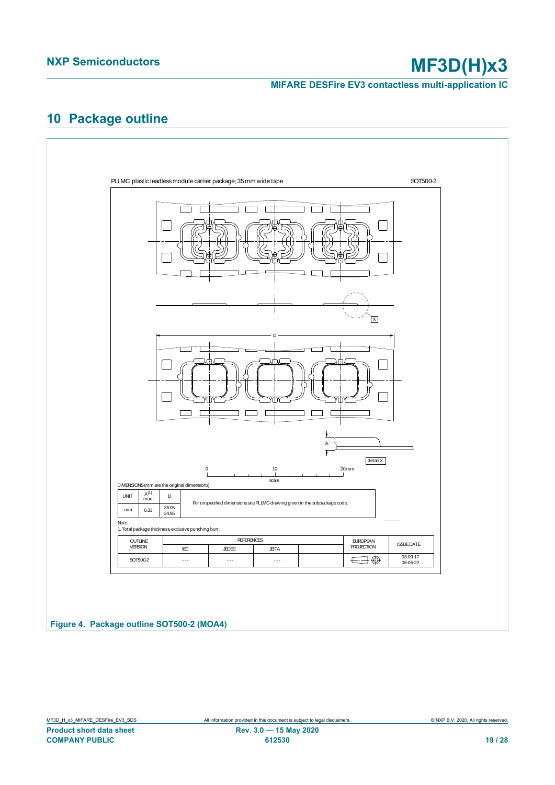**MIFARE DESFire EV3 contactless multi-application IC**

# <span id="page-18-1"></span>**10 Package outline**

<span id="page-18-0"></span>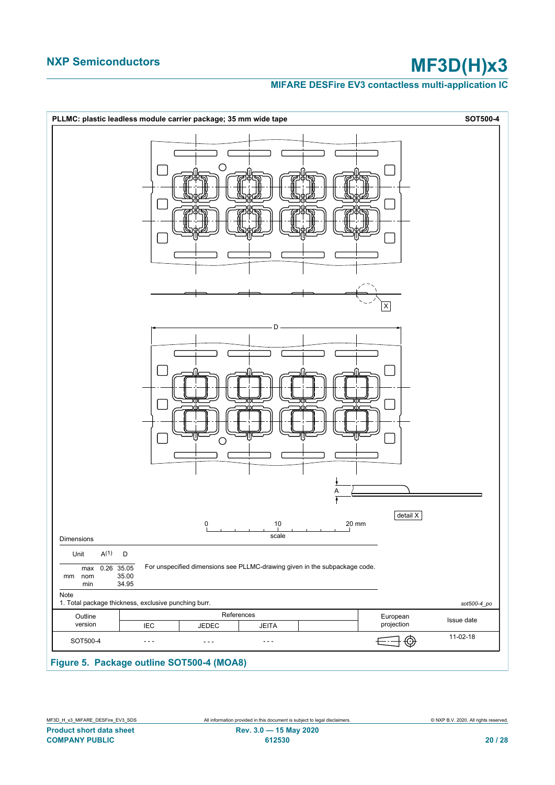#### **MIFARE DESFire EV3 contactless multi-application IC**

<span id="page-19-0"></span>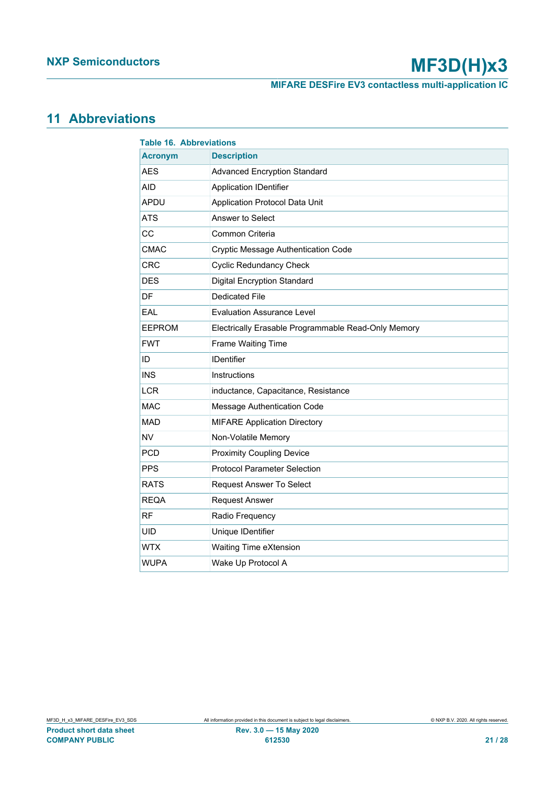**MIFARE DESFire EV3 contactless multi-application IC**

# <span id="page-20-1"></span>**11 Abbreviations**

<span id="page-20-0"></span>

| <b>Table 16. Abbreviations</b> |                                                     |  |  |
|--------------------------------|-----------------------------------------------------|--|--|
| <b>Acronym</b>                 | <b>Description</b>                                  |  |  |
| <b>AES</b>                     | <b>Advanced Encryption Standard</b>                 |  |  |
| <b>AID</b>                     | <b>Application IDentifier</b>                       |  |  |
| APDU                           | Application Protocol Data Unit                      |  |  |
| <b>ATS</b>                     | Answer to Select                                    |  |  |
| CC                             | Common Criteria                                     |  |  |
| <b>CMAC</b>                    | <b>Cryptic Message Authentication Code</b>          |  |  |
| <b>CRC</b>                     | <b>Cyclic Redundancy Check</b>                      |  |  |
| <b>DES</b>                     | <b>Digital Encryption Standard</b>                  |  |  |
| DF                             | Dedicated File                                      |  |  |
| EAL                            | <b>Evaluation Assurance Level</b>                   |  |  |
| <b>EEPROM</b>                  | Electrically Erasable Programmable Read-Only Memory |  |  |
| <b>FWT</b>                     | Frame Waiting Time                                  |  |  |
| ID                             | <b>IDentifier</b>                                   |  |  |
| <b>INS</b>                     | Instructions                                        |  |  |
| <b>LCR</b>                     | inductance, Capacitance, Resistance                 |  |  |
| <b>MAC</b>                     | Message Authentication Code                         |  |  |
| <b>MAD</b>                     | <b>MIFARE Application Directory</b>                 |  |  |
| <b>NV</b>                      | Non-Volatile Memory                                 |  |  |
| <b>PCD</b>                     | <b>Proximity Coupling Device</b>                    |  |  |
| <b>PPS</b>                     | <b>Protocol Parameter Selection</b>                 |  |  |
| <b>RATS</b>                    | <b>Request Answer To Select</b>                     |  |  |
| <b>REQA</b>                    | <b>Request Answer</b>                               |  |  |
| <b>RF</b>                      | Radio Frequency                                     |  |  |
| <b>UID</b>                     | Unique IDentifier                                   |  |  |
| <b>WTX</b>                     | Waiting Time eXtension                              |  |  |
| <b>WUPA</b>                    | Wake Up Protocol A                                  |  |  |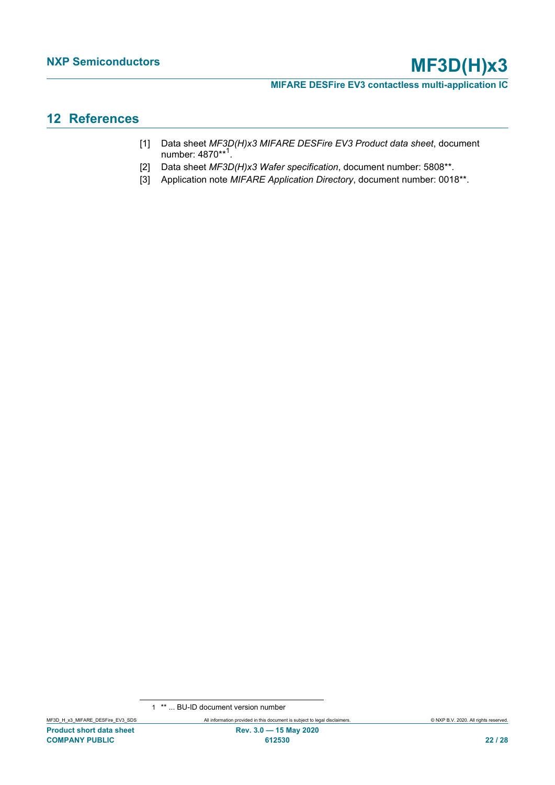**MIFARE DESFire EV3 contactless multi-application IC**

# <span id="page-21-3"></span>**12 References**

- <span id="page-21-1"></span>[1] Data sheet *MF3D(H)x3 MIFARE DESFire EV3 Product data sheet*, document number: 4870\*\*<sup>1</sup>.
- <span id="page-21-0"></span>[2] Data sheet *MF3D(H)x3 Wafer specification*, document number: 5808\*\*.
- <span id="page-21-2"></span>[3] Application note *MIFARE Application Directory*, document number: 0018\*\*.

<sup>1</sup> \*\* ... BU-ID document version number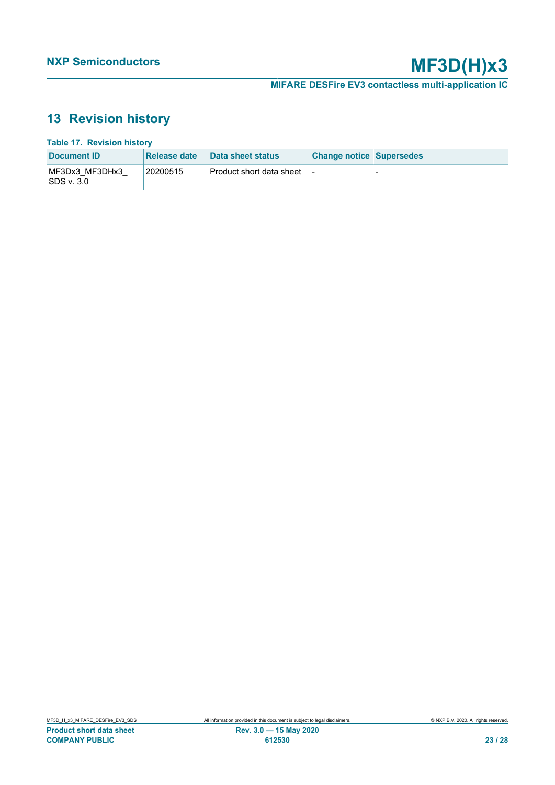# <span id="page-22-1"></span>**13 Revision history**

<span id="page-22-0"></span>

| <b>Table 17. Revision history</b> |              |                            |                                 |  |  |
|-----------------------------------|--------------|----------------------------|---------------------------------|--|--|
| Document ID                       | Release date | Data sheet status          | <b>Change notice Supersedes</b> |  |  |
| MF3Dx3 MF3DHx3<br> SDS v. 3.0     | 20200515     | ∣Product short data sheet_ |                                 |  |  |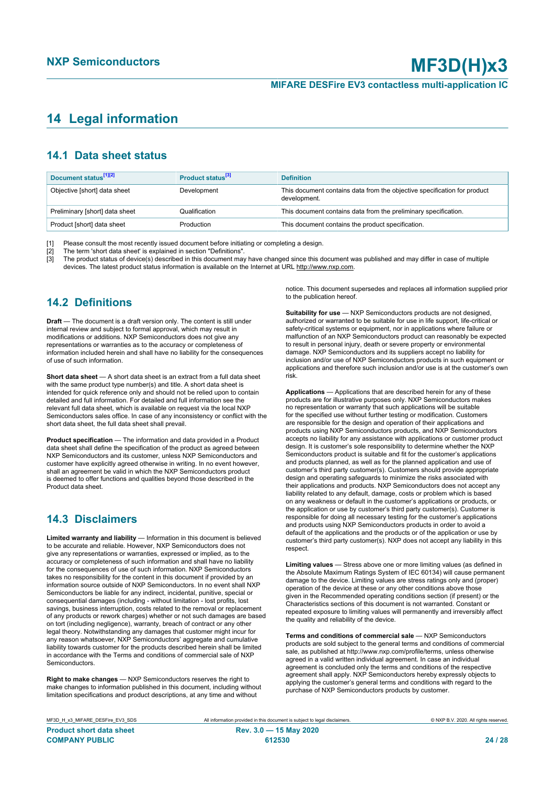# <span id="page-23-0"></span>**14 Legal information**

### **14.1 Data sheet status**

| Document status <sup>[1][2]</sup> | Product status <sup>[3]</sup> | <b>Definition</b>                                                                        |
|-----------------------------------|-------------------------------|------------------------------------------------------------------------------------------|
| Objective [short] data sheet      | Development                   | This document contains data from the objective specification for product<br>development. |
| Preliminary [short] data sheet    | Qualification                 | This document contains data from the preliminary specification.                          |
| Product [short] data sheet        | Production                    | This document contains the product specification.                                        |

[1] Please consult the most recently issued document before initiating or completing a design.<br>[2] The term 'short data sheet' is explained in section "Definitions".

t :<br>[2] The term 'short data sheet' is explained in section "Definitions".<br>[3] The product status of device(s) described in this document may

The product status of device(s) described in this document may have changed since this document was published and may differ in case of multiple devices. The latest product status information is available on the Internet at URL http://www.nxp.com.

# **14.2 Definitions**

**Draft** — The document is a draft version only. The content is still under internal review and subject to formal approval, which may result in modifications or additions. NXP Semiconductors does not give any representations or warranties as to the accuracy or completeness of information included herein and shall have no liability for the consequences of use of such information.

**Short data sheet** — A short data sheet is an extract from a full data sheet with the same product type number(s) and title. A short data sheet is intended for quick reference only and should not be relied upon to contain detailed and full information. For detailed and full information see the relevant full data sheet, which is available on request via the local NXP Semiconductors sales office. In case of any inconsistency or conflict with the short data sheet, the full data sheet shall prevail.

**Product specification** — The information and data provided in a Product data sheet shall define the specification of the product as agreed between NXP Semiconductors and its customer, unless NXP Semiconductors and customer have explicitly agreed otherwise in writing. In no event however, shall an agreement be valid in which the NXP Semiconductors product is deemed to offer functions and qualities beyond those described in the Product data sheet.

### **14.3 Disclaimers**

**Limited warranty and liability** — Information in this document is believed to be accurate and reliable. However, NXP Semiconductors does not give any representations or warranties, expressed or implied, as to the accuracy or completeness of such information and shall have no liability for the consequences of use of such information. NXP Semiconductors takes no responsibility for the content in this document if provided by an information source outside of NXP Semiconductors. In no event shall NXP Semiconductors be liable for any indirect, incidental, punitive, special or consequential damages (including - without limitation - lost profits, lost savings, business interruption, costs related to the removal or replacement of any products or rework charges) whether or not such damages are based on tort (including negligence), warranty, breach of contract or any other legal theory. Notwithstanding any damages that customer might incur for any reason whatsoever, NXP Semiconductors' aggregate and cumulative liability towards customer for the products described herein shall be limited in accordance with the Terms and conditions of commercial sale of NXP **Semiconductors** 

**Right to make changes** — NXP Semiconductors reserves the right to make changes to information published in this document, including without limitation specifications and product descriptions, at any time and without

notice. This document supersedes and replaces all information supplied prior to the publication hereof.

**Suitability for use** — NXP Semiconductors products are not designed, authorized or warranted to be suitable for use in life support, life-critical or safety-critical systems or equipment, nor in applications where failure or malfunction of an NXP Semiconductors product can reasonably be expected to result in personal injury, death or severe property or environmental damage. NXP Semiconductors and its suppliers accept no liability for inclusion and/or use of NXP Semiconductors products in such equipment or applications and therefore such inclusion and/or use is at the customer's own risk.

**Applications** — Applications that are described herein for any of these products are for illustrative purposes only. NXP Semiconductors makes no representation or warranty that such applications will be suitable for the specified use without further testing or modification. Customers are responsible for the design and operation of their applications and products using NXP Semiconductors products, and NXP Semiconductors accepts no liability for any assistance with applications or customer product design. It is customer's sole responsibility to determine whether the NXP Semiconductors product is suitable and fit for the customer's applications and products planned, as well as for the planned application and use of customer's third party customer(s). Customers should provide appropriate design and operating safeguards to minimize the risks associated with their applications and products. NXP Semiconductors does not accept any liability related to any default, damage, costs or problem which is based on any weakness or default in the customer's applications or products, or the application or use by customer's third party customer(s). Customer is responsible for doing all necessary testing for the customer's applications and products using NXP Semiconductors products in order to avoid a default of the applications and the products or of the application or use by customer's third party customer(s). NXP does not accept any liability in this respect.

**Limiting values** — Stress above one or more limiting values (as defined in the Absolute Maximum Ratings System of IEC 60134) will cause permanent damage to the device. Limiting values are stress ratings only and (proper) operation of the device at these or any other conditions above those given in the Recommended operating conditions section (if present) or the Characteristics sections of this document is not warranted. Constant or repeated exposure to limiting values will permanently and irreversibly affect the quality and reliability of the device.

**Terms and conditions of commercial sale** — NXP Semiconductors products are sold subject to the general terms and conditions of commercial sale, as published at http://www.nxp.com/profile/terms, unless otherwise agreed in a valid written individual agreement. In case an individual agreement is concluded only the terms and conditions of the respective agreement shall apply. NXP Semiconductors hereby expressly objects to applying the customer's general terms and conditions with regard to the purchase of NXP Semiconductors products by customer.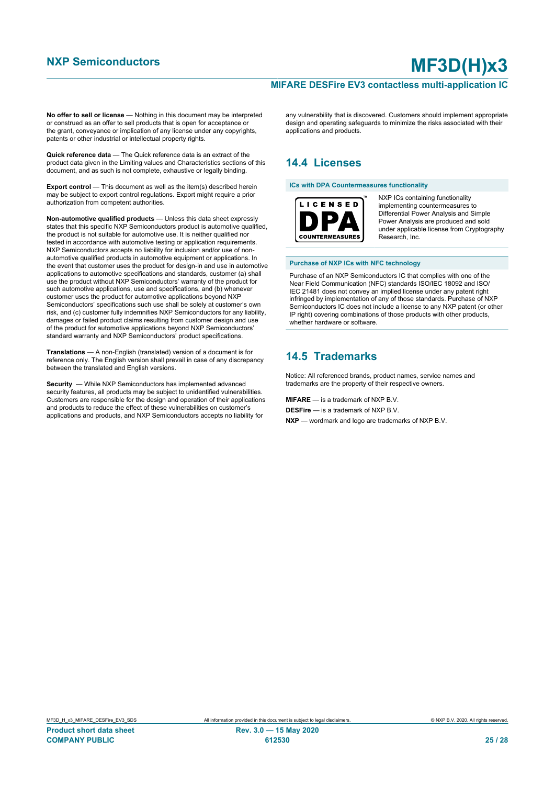#### **MIFARE DESFire EV3 contactless multi-application IC**

**No offer to sell or license** — Nothing in this document may be interpreted or construed as an offer to sell products that is open for acceptance or the grant, conveyance or implication of any license under any copyrights. patents or other industrial or intellectual property rights.

**Quick reference data** — The Quick reference data is an extract of the product data given in the Limiting values and Characteristics sections of this document, and as such is not complete, exhaustive or legally binding.

**Export control** — This document as well as the item(s) described herein may be subject to export control regulations. Export might require a prior authorization from competent authorities.

**Non-automotive qualified products** — Unless this data sheet expressly states that this specific NXP Semiconductors product is automotive qualified, the product is not suitable for automotive use. It is neither qualified nor tested in accordance with automotive testing or application requirements. NXP Semiconductors accepts no liability for inclusion and/or use of nonautomotive qualified products in automotive equipment or applications. In the event that customer uses the product for design-in and use in automotive applications to automotive specifications and standards, customer (a) shall use the product without NXP Semiconductors' warranty of the product for such automotive applications, use and specifications, and (b) whenever customer uses the product for automotive applications beyond NXP Semiconductors' specifications such use shall be solely at customer's own risk, and (c) customer fully indemnifies NXP Semiconductors for any liability, damages or failed product claims resulting from customer design and use of the product for automotive applications beyond NXP Semiconductors' standard warranty and NXP Semiconductors' product specifications.

**Translations** — A non-English (translated) version of a document is for reference only. The English version shall prevail in case of any discrepancy between the translated and English versions.

**Security** — While NXP Semiconductors has implemented advanced security features, all products may be subject to unidentified vulnerabilities. Customers are responsible for the design and operation of their applications and products to reduce the effect of these vulnerabilities on customer's applications and products, and NXP Semiconductors accepts no liability for

any vulnerability that is discovered. Customers should implement appropriate design and operating safeguards to minimize the risks associated with their applications and products.

# **14.4 Licenses**

**ICs with DPA Countermeasures functionality**



NXP ICs containing functionality implementing countermeasures to Differential Power Analysis and Simple Power Analysis are produced and sold under applicable license from Cryptography Research, Inc.

#### **Purchase of NXP ICs with NFC technology**

Purchase of an NXP Semiconductors IC that complies with one of the Near Field Communication (NFC) standards ISO/IEC 18092 and ISO/ IEC 21481 does not convey an implied license under any patent right infringed by implementation of any of those standards. Purchase of NXP Semiconductors IC does not include a license to any NXP patent (or other IP right) covering combinations of those products with other products, whether hardware or software.

### **14.5 Trademarks**

Notice: All referenced brands, product names, service names and trademarks are the property of their respective owners.

**MIFARE** — is a trademark of NXP B.V. **DESFire** — is a trademark of NXP B.V.

**NXP** — wordmark and logo are trademarks of NXP B.V.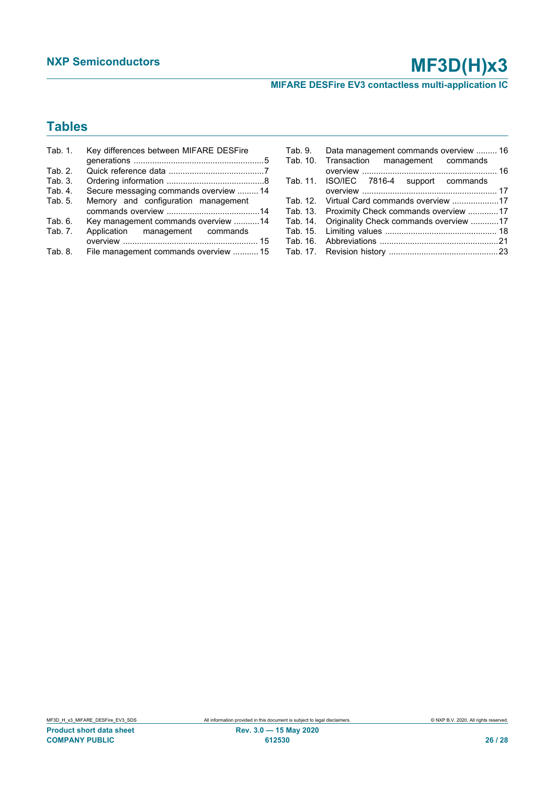**MIFARE DESFire EV3 contactless multi-application IC**

# **Tables**

| Tab. 1. | Key differences between MIFARE DESFire |
|---------|----------------------------------------|
|         |                                        |
| Tab. 2. |                                        |
| Tab. 3. |                                        |
| Tab. 4. | Secure messaging commands overview  14 |
| Tab. 5. | Memory and configuration management    |
|         |                                        |
| Tab. 6. | Key management commands overview 14    |
| Tab. 7. | Application management commands        |
|         |                                        |
| Tab. 8. | File management commands overview  15  |

| Tab. 9. Data management commands overview  16   |  |
|-------------------------------------------------|--|
| Tab. 10. Transaction management commands        |  |
|                                                 |  |
| Tab. 11. ISO/IEC 7816-4 support commands        |  |
|                                                 |  |
|                                                 |  |
| Tab. 13. Proximity Check commands overview 17   |  |
| Tab. 14. Originality Check commands overview 17 |  |
|                                                 |  |
|                                                 |  |
|                                                 |  |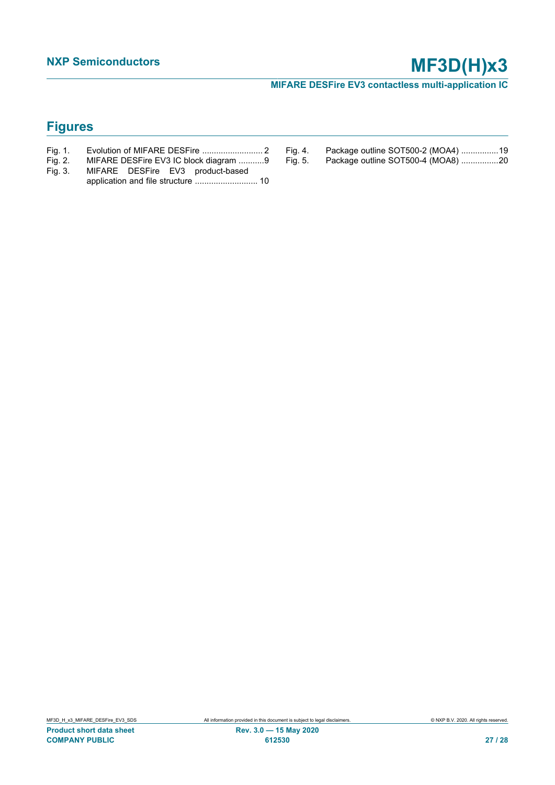**MIFARE DESFire EV3 contactless multi-application IC**

# **Figures**

- [Fig. 1.](#page-1-1) [Evolution of MIFARE DESFire ..........................](#page-1-1) 2
- [Fig. 2.](#page-8-0) [MIFARE DESFire EV3 IC block diagram ...........9](#page-8-0)<br>Fig. 3. MIFARE DESFire EV3 product-based
- [MIFARE DESFire EV3 product-based](#page-9-0) [application and file structure ...........................](#page-9-0) 10
- [Fig. 4.](#page-18-0) Package outline SOT500-2 (MOA4) .................19<br>Fig. 5. Package outline SOT500-4 (MOA8) ................20
	- Package outline SOT500-4 (MOA8) .................20